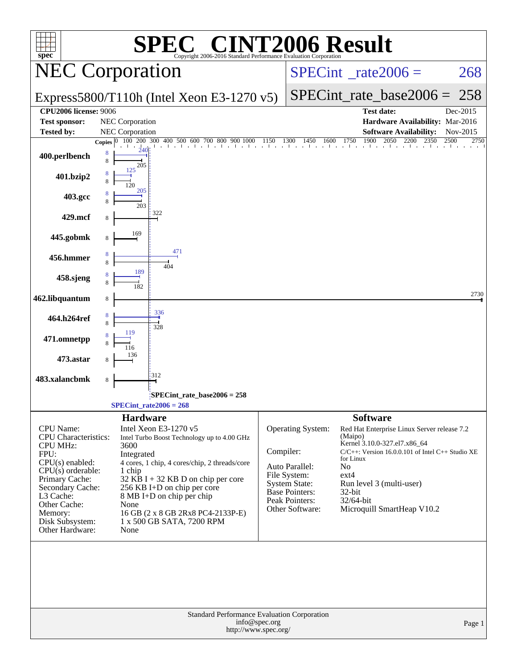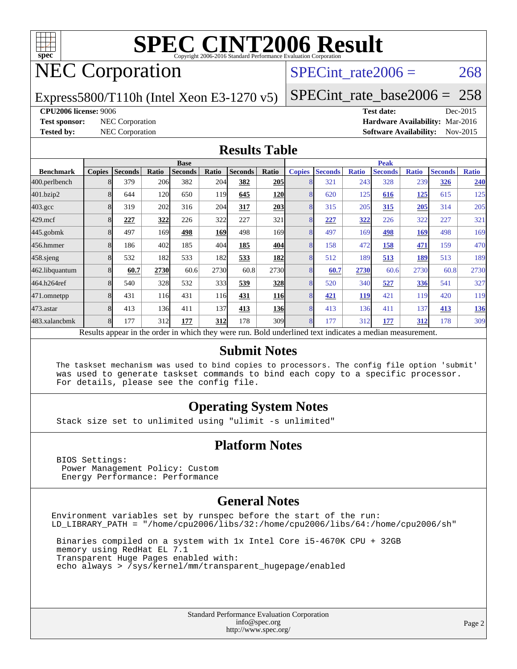

# NEC Corporation

### SPECint rate $2006 = 268$

Express5800/T110h (Intel Xeon E3-1270 v5)

[SPECint\\_rate\\_base2006 =](http://www.spec.org/auto/cpu2006/Docs/result-fields.html#SPECintratebase2006) 258

#### **[CPU2006 license:](http://www.spec.org/auto/cpu2006/Docs/result-fields.html#CPU2006license)** 9006 **[Test date:](http://www.spec.org/auto/cpu2006/Docs/result-fields.html#Testdate)** Dec-2015

**[Test sponsor:](http://www.spec.org/auto/cpu2006/Docs/result-fields.html#Testsponsor)** NEC Corporation **[Hardware Availability:](http://www.spec.org/auto/cpu2006/Docs/result-fields.html#HardwareAvailability)** Mar-2016 **[Tested by:](http://www.spec.org/auto/cpu2006/Docs/result-fields.html#Testedby)** NEC Corporation **[Software Availability:](http://www.spec.org/auto/cpu2006/Docs/result-fields.html#SoftwareAvailability)** Nov-2015

#### **[Results Table](http://www.spec.org/auto/cpu2006/Docs/result-fields.html#ResultsTable)**

|                                                                                                          | <b>Base</b>   |                |       |                |            | <b>Peak</b>    |                  |               |                |              |                |              |                |              |
|----------------------------------------------------------------------------------------------------------|---------------|----------------|-------|----------------|------------|----------------|------------------|---------------|----------------|--------------|----------------|--------------|----------------|--------------|
| <b>Benchmark</b>                                                                                         | <b>Copies</b> | <b>Seconds</b> | Ratio | <b>Seconds</b> | Ratio      | <b>Seconds</b> | Ratio            | <b>Copies</b> | <b>Seconds</b> | <b>Ratio</b> | <b>Seconds</b> | <b>Ratio</b> | <b>Seconds</b> | <b>Ratio</b> |
| 400.perlbench                                                                                            |               | 379            | 206   | 382            | 204        | 382            | 205              |               | 321            | 243          | 328            | 239          | 326            | 240          |
| 401.bzip2                                                                                                |               | 644            | 120   | 650            | 119        | 645            | <b>120</b>       |               | 620            | 125          | 616            | <u>125</u>   | 615            | 125          |
| $403.\text{gcc}$                                                                                         |               | 319            | 202   | 316            | 204        | 317            | 203              | 8             | 315            | 205          | 315            | 205          | 314            | 205          |
| $429$ .mcf                                                                                               |               | 227            | 322   | 226            | 322        | 227            | 321              |               | 227            | 322          | 226            | 322          | 227            | 321          |
| $445$ .gobmk                                                                                             |               | 497            | 169   | 498            | <u>169</u> | 498            | 169              |               | 497            | 169          | 498            | <u>169</u>   | 498            | 169          |
| 456.hmmer                                                                                                |               | 186            | 402   | 185            | 404        | 185            | 404              |               | 158            | 472          | 158            | 471          | 159            | 470          |
| $458$ .sjeng                                                                                             |               | 532            | 182   | 533            | 182        | 533            | 182              | 8             | 512            | 189          | 513            | 189          | 513            | 189          |
| 462.libquantum                                                                                           |               | 60.7           | 2730  | 60.6           | 2730       | 60.8           | 2730             |               | 60.7           | 2730         | 60.6           | 2730         | 60.8           | 2730         |
| 464.h264ref                                                                                              |               | 540            | 328   | 532            | 333        | 539            | 328              | 8             | 520            | 340          | 527            | 336          | 541            | 327          |
| 471.omnetpp                                                                                              |               | 431            | 116   | 431            | 116        | 431            | <b>116</b>       |               | <u>421</u>     | <b>119</b>   | 421            | 119          | 420            | 119          |
| 473.astar                                                                                                | 8             | 413            | 136   | 411            | 137        | 413            | <b>136</b>       | $\mathsf{R}$  | 413            | 136          | 411            | 137          | 413            | <u>136</u>   |
| 483.xalancbmk                                                                                            |               | 177            | 312   | 177            | 312        | 178            | 309 <sub>l</sub> | 8             | 177            | 312          | 177            | 312          | 178            | 309          |
| Results appear in the order in which they were run. Bold underlined text indicates a median measurement. |               |                |       |                |            |                |                  |               |                |              |                |              |                |              |

#### **[Submit Notes](http://www.spec.org/auto/cpu2006/Docs/result-fields.html#SubmitNotes)**

 The taskset mechanism was used to bind copies to processors. The config file option 'submit' was used to generate taskset commands to bind each copy to a specific processor. For details, please see the config file.

#### **[Operating System Notes](http://www.spec.org/auto/cpu2006/Docs/result-fields.html#OperatingSystemNotes)**

Stack size set to unlimited using "ulimit -s unlimited"

#### **[Platform Notes](http://www.spec.org/auto/cpu2006/Docs/result-fields.html#PlatformNotes)**

 BIOS Settings: Power Management Policy: Custom Energy Performance: Performance

#### **[General Notes](http://www.spec.org/auto/cpu2006/Docs/result-fields.html#GeneralNotes)**

Environment variables set by runspec before the start of the run: LD\_LIBRARY\_PATH = "/home/cpu2006/libs/32:/home/cpu2006/libs/64:/home/cpu2006/sh"

 Binaries compiled on a system with 1x Intel Core i5-4670K CPU + 32GB memory using RedHat EL 7.1 Transparent Huge Pages enabled with: echo always > /sys/kernel/mm/transparent\_hugepage/enabled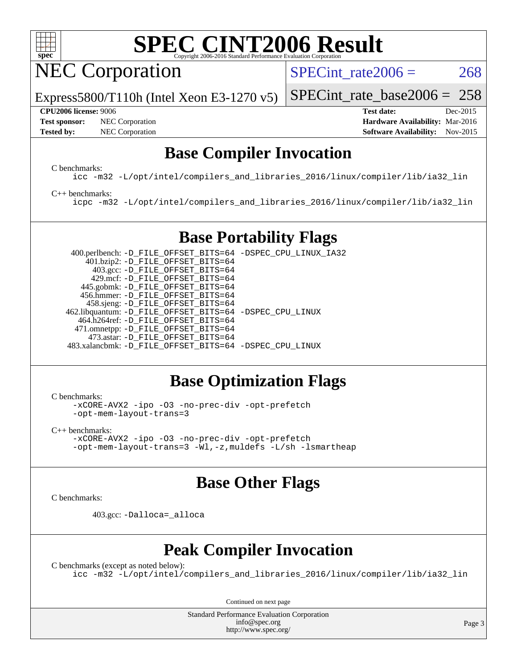

NEC Corporation

SPECint rate $2006 = 268$ 

[SPECint\\_rate\\_base2006 =](http://www.spec.org/auto/cpu2006/Docs/result-fields.html#SPECintratebase2006) 258

Express5800/T110h (Intel Xeon E3-1270 v5)

**[Tested by:](http://www.spec.org/auto/cpu2006/Docs/result-fields.html#Testedby)** NEC Corporation **[Software Availability:](http://www.spec.org/auto/cpu2006/Docs/result-fields.html#SoftwareAvailability)** Nov-2015

**[CPU2006 license:](http://www.spec.org/auto/cpu2006/Docs/result-fields.html#CPU2006license)** 9006 **[Test date:](http://www.spec.org/auto/cpu2006/Docs/result-fields.html#Testdate)** Dec-2015 **[Test sponsor:](http://www.spec.org/auto/cpu2006/Docs/result-fields.html#Testsponsor)** NEC Corporation **NEC Corporation [Hardware Availability:](http://www.spec.org/auto/cpu2006/Docs/result-fields.html#HardwareAvailability)** Mar-2016

### **[Base Compiler Invocation](http://www.spec.org/auto/cpu2006/Docs/result-fields.html#BaseCompilerInvocation)**

[C benchmarks](http://www.spec.org/auto/cpu2006/Docs/result-fields.html#Cbenchmarks):

[icc -m32 -L/opt/intel/compilers\\_and\\_libraries\\_2016/linux/compiler/lib/ia32\\_lin](http://www.spec.org/cpu2006/results/res2016q1/cpu2006-20160125-38826.flags.html#user_CCbase_intel_icc_e10256ba5924b668798078a321b0cb3f)

#### [C++ benchmarks:](http://www.spec.org/auto/cpu2006/Docs/result-fields.html#CXXbenchmarks)

[icpc -m32 -L/opt/intel/compilers\\_and\\_libraries\\_2016/linux/compiler/lib/ia32\\_lin](http://www.spec.org/cpu2006/results/res2016q1/cpu2006-20160125-38826.flags.html#user_CXXbase_intel_icpc_b4f50a394bdb4597aa5879c16bc3f5c5)

### **[Base Portability Flags](http://www.spec.org/auto/cpu2006/Docs/result-fields.html#BasePortabilityFlags)**

 400.perlbench: [-D\\_FILE\\_OFFSET\\_BITS=64](http://www.spec.org/cpu2006/results/res2016q1/cpu2006-20160125-38826.flags.html#user_basePORTABILITY400_perlbench_file_offset_bits_64_438cf9856305ebd76870a2c6dc2689ab) [-DSPEC\\_CPU\\_LINUX\\_IA32](http://www.spec.org/cpu2006/results/res2016q1/cpu2006-20160125-38826.flags.html#b400.perlbench_baseCPORTABILITY_DSPEC_CPU_LINUX_IA32) 401.bzip2: [-D\\_FILE\\_OFFSET\\_BITS=64](http://www.spec.org/cpu2006/results/res2016q1/cpu2006-20160125-38826.flags.html#user_basePORTABILITY401_bzip2_file_offset_bits_64_438cf9856305ebd76870a2c6dc2689ab) 403.gcc: [-D\\_FILE\\_OFFSET\\_BITS=64](http://www.spec.org/cpu2006/results/res2016q1/cpu2006-20160125-38826.flags.html#user_basePORTABILITY403_gcc_file_offset_bits_64_438cf9856305ebd76870a2c6dc2689ab) 429.mcf: [-D\\_FILE\\_OFFSET\\_BITS=64](http://www.spec.org/cpu2006/results/res2016q1/cpu2006-20160125-38826.flags.html#user_basePORTABILITY429_mcf_file_offset_bits_64_438cf9856305ebd76870a2c6dc2689ab) 445.gobmk: [-D\\_FILE\\_OFFSET\\_BITS=64](http://www.spec.org/cpu2006/results/res2016q1/cpu2006-20160125-38826.flags.html#user_basePORTABILITY445_gobmk_file_offset_bits_64_438cf9856305ebd76870a2c6dc2689ab) 456.hmmer: [-D\\_FILE\\_OFFSET\\_BITS=64](http://www.spec.org/cpu2006/results/res2016q1/cpu2006-20160125-38826.flags.html#user_basePORTABILITY456_hmmer_file_offset_bits_64_438cf9856305ebd76870a2c6dc2689ab) 458.sjeng: [-D\\_FILE\\_OFFSET\\_BITS=64](http://www.spec.org/cpu2006/results/res2016q1/cpu2006-20160125-38826.flags.html#user_basePORTABILITY458_sjeng_file_offset_bits_64_438cf9856305ebd76870a2c6dc2689ab) 462.libquantum: [-D\\_FILE\\_OFFSET\\_BITS=64](http://www.spec.org/cpu2006/results/res2016q1/cpu2006-20160125-38826.flags.html#user_basePORTABILITY462_libquantum_file_offset_bits_64_438cf9856305ebd76870a2c6dc2689ab) [-DSPEC\\_CPU\\_LINUX](http://www.spec.org/cpu2006/results/res2016q1/cpu2006-20160125-38826.flags.html#b462.libquantum_baseCPORTABILITY_DSPEC_CPU_LINUX) 464.h264ref: [-D\\_FILE\\_OFFSET\\_BITS=64](http://www.spec.org/cpu2006/results/res2016q1/cpu2006-20160125-38826.flags.html#user_basePORTABILITY464_h264ref_file_offset_bits_64_438cf9856305ebd76870a2c6dc2689ab) 471.omnetpp: [-D\\_FILE\\_OFFSET\\_BITS=64](http://www.spec.org/cpu2006/results/res2016q1/cpu2006-20160125-38826.flags.html#user_basePORTABILITY471_omnetpp_file_offset_bits_64_438cf9856305ebd76870a2c6dc2689ab) 473.astar: [-D\\_FILE\\_OFFSET\\_BITS=64](http://www.spec.org/cpu2006/results/res2016q1/cpu2006-20160125-38826.flags.html#user_basePORTABILITY473_astar_file_offset_bits_64_438cf9856305ebd76870a2c6dc2689ab) 483.xalancbmk: [-D\\_FILE\\_OFFSET\\_BITS=64](http://www.spec.org/cpu2006/results/res2016q1/cpu2006-20160125-38826.flags.html#user_basePORTABILITY483_xalancbmk_file_offset_bits_64_438cf9856305ebd76870a2c6dc2689ab) [-DSPEC\\_CPU\\_LINUX](http://www.spec.org/cpu2006/results/res2016q1/cpu2006-20160125-38826.flags.html#b483.xalancbmk_baseCXXPORTABILITY_DSPEC_CPU_LINUX)

### **[Base Optimization Flags](http://www.spec.org/auto/cpu2006/Docs/result-fields.html#BaseOptimizationFlags)**

[C benchmarks](http://www.spec.org/auto/cpu2006/Docs/result-fields.html#Cbenchmarks):

[-xCORE-AVX2](http://www.spec.org/cpu2006/results/res2016q1/cpu2006-20160125-38826.flags.html#user_CCbase_f-xAVX2_5f5fc0cbe2c9f62c816d3e45806c70d7) [-ipo](http://www.spec.org/cpu2006/results/res2016q1/cpu2006-20160125-38826.flags.html#user_CCbase_f-ipo) [-O3](http://www.spec.org/cpu2006/results/res2016q1/cpu2006-20160125-38826.flags.html#user_CCbase_f-O3) [-no-prec-div](http://www.spec.org/cpu2006/results/res2016q1/cpu2006-20160125-38826.flags.html#user_CCbase_f-no-prec-div) [-opt-prefetch](http://www.spec.org/cpu2006/results/res2016q1/cpu2006-20160125-38826.flags.html#user_CCbase_f-opt-prefetch) [-opt-mem-layout-trans=3](http://www.spec.org/cpu2006/results/res2016q1/cpu2006-20160125-38826.flags.html#user_CCbase_f-opt-mem-layout-trans_a7b82ad4bd7abf52556d4961a2ae94d5)

[C++ benchmarks:](http://www.spec.org/auto/cpu2006/Docs/result-fields.html#CXXbenchmarks) [-xCORE-AVX2](http://www.spec.org/cpu2006/results/res2016q1/cpu2006-20160125-38826.flags.html#user_CXXbase_f-xAVX2_5f5fc0cbe2c9f62c816d3e45806c70d7) [-ipo](http://www.spec.org/cpu2006/results/res2016q1/cpu2006-20160125-38826.flags.html#user_CXXbase_f-ipo) [-O3](http://www.spec.org/cpu2006/results/res2016q1/cpu2006-20160125-38826.flags.html#user_CXXbase_f-O3) [-no-prec-div](http://www.spec.org/cpu2006/results/res2016q1/cpu2006-20160125-38826.flags.html#user_CXXbase_f-no-prec-div) [-opt-prefetch](http://www.spec.org/cpu2006/results/res2016q1/cpu2006-20160125-38826.flags.html#user_CXXbase_f-opt-prefetch) [-opt-mem-layout-trans=3](http://www.spec.org/cpu2006/results/res2016q1/cpu2006-20160125-38826.flags.html#user_CXXbase_f-opt-mem-layout-trans_a7b82ad4bd7abf52556d4961a2ae94d5) [-Wl,-z,muldefs](http://www.spec.org/cpu2006/results/res2016q1/cpu2006-20160125-38826.flags.html#user_CXXbase_link_force_multiple1_74079c344b956b9658436fd1b6dd3a8a) [-L/sh -lsmartheap](http://www.spec.org/cpu2006/results/res2016q1/cpu2006-20160125-38826.flags.html#user_CXXbase_SmartHeap_32f6c82aa1ed9c52345d30cf6e4a0499)

### **[Base Other Flags](http://www.spec.org/auto/cpu2006/Docs/result-fields.html#BaseOtherFlags)**

[C benchmarks](http://www.spec.org/auto/cpu2006/Docs/result-fields.html#Cbenchmarks):

403.gcc: [-Dalloca=\\_alloca](http://www.spec.org/cpu2006/results/res2016q1/cpu2006-20160125-38826.flags.html#b403.gcc_baseEXTRA_CFLAGS_Dalloca_be3056838c12de2578596ca5467af7f3)

### **[Peak Compiler Invocation](http://www.spec.org/auto/cpu2006/Docs/result-fields.html#PeakCompilerInvocation)**

[C benchmarks \(except as noted below\)](http://www.spec.org/auto/cpu2006/Docs/result-fields.html#Cbenchmarksexceptasnotedbelow): [icc -m32 -L/opt/intel/compilers\\_and\\_libraries\\_2016/linux/compiler/lib/ia32\\_lin](http://www.spec.org/cpu2006/results/res2016q1/cpu2006-20160125-38826.flags.html#user_CCpeak_intel_icc_e10256ba5924b668798078a321b0cb3f)

Continued on next page

Standard Performance Evaluation Corporation [info@spec.org](mailto:info@spec.org) <http://www.spec.org/>

Page 3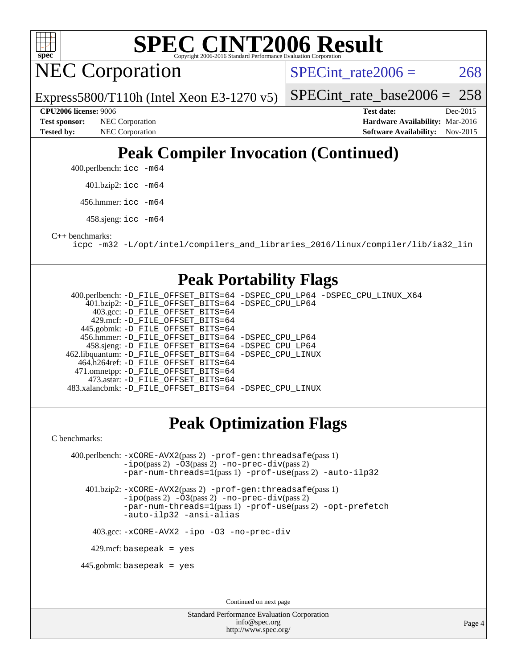

NEC Corporation

SPECint rate $2006 = 268$ 

[SPECint\\_rate\\_base2006 =](http://www.spec.org/auto/cpu2006/Docs/result-fields.html#SPECintratebase2006) 258

Express5800/T110h (Intel Xeon E3-1270 v5) **[CPU2006 license:](http://www.spec.org/auto/cpu2006/Docs/result-fields.html#CPU2006license)** 9006 **[Test date:](http://www.spec.org/auto/cpu2006/Docs/result-fields.html#Testdate)** Dec-2015

**[Test sponsor:](http://www.spec.org/auto/cpu2006/Docs/result-fields.html#Testsponsor)** NEC Corporation **NEC Corporation [Hardware Availability:](http://www.spec.org/auto/cpu2006/Docs/result-fields.html#HardwareAvailability)** Mar-2016 **[Tested by:](http://www.spec.org/auto/cpu2006/Docs/result-fields.html#Testedby)** NEC Corporation **[Software Availability:](http://www.spec.org/auto/cpu2006/Docs/result-fields.html#SoftwareAvailability)** Nov-2015

## **[Peak Compiler Invocation \(Continued\)](http://www.spec.org/auto/cpu2006/Docs/result-fields.html#PeakCompilerInvocation)**

400.perlbench: [icc -m64](http://www.spec.org/cpu2006/results/res2016q1/cpu2006-20160125-38826.flags.html#user_peakCCLD400_perlbench_intel_icc_64bit_bda6cc9af1fdbb0edc3795bac97ada53)

401.bzip2: [icc -m64](http://www.spec.org/cpu2006/results/res2016q1/cpu2006-20160125-38826.flags.html#user_peakCCLD401_bzip2_intel_icc_64bit_bda6cc9af1fdbb0edc3795bac97ada53)

456.hmmer: [icc -m64](http://www.spec.org/cpu2006/results/res2016q1/cpu2006-20160125-38826.flags.html#user_peakCCLD456_hmmer_intel_icc_64bit_bda6cc9af1fdbb0edc3795bac97ada53)

458.sjeng: [icc -m64](http://www.spec.org/cpu2006/results/res2016q1/cpu2006-20160125-38826.flags.html#user_peakCCLD458_sjeng_intel_icc_64bit_bda6cc9af1fdbb0edc3795bac97ada53)

[C++ benchmarks:](http://www.spec.org/auto/cpu2006/Docs/result-fields.html#CXXbenchmarks)

[icpc -m32 -L/opt/intel/compilers\\_and\\_libraries\\_2016/linux/compiler/lib/ia32\\_lin](http://www.spec.org/cpu2006/results/res2016q1/cpu2006-20160125-38826.flags.html#user_CXXpeak_intel_icpc_b4f50a394bdb4597aa5879c16bc3f5c5)

#### **[Peak Portability Flags](http://www.spec.org/auto/cpu2006/Docs/result-fields.html#PeakPortabilityFlags)**

 400.perlbench: [-D\\_FILE\\_OFFSET\\_BITS=64](http://www.spec.org/cpu2006/results/res2016q1/cpu2006-20160125-38826.flags.html#user_peakPORTABILITY400_perlbench_file_offset_bits_64_438cf9856305ebd76870a2c6dc2689ab) [-DSPEC\\_CPU\\_LP64](http://www.spec.org/cpu2006/results/res2016q1/cpu2006-20160125-38826.flags.html#b400.perlbench_peakCPORTABILITY_DSPEC_CPU_LP64) [-DSPEC\\_CPU\\_LINUX\\_X64](http://www.spec.org/cpu2006/results/res2016q1/cpu2006-20160125-38826.flags.html#b400.perlbench_peakCPORTABILITY_DSPEC_CPU_LINUX_X64) 401.bzip2: [-D\\_FILE\\_OFFSET\\_BITS=64](http://www.spec.org/cpu2006/results/res2016q1/cpu2006-20160125-38826.flags.html#user_peakPORTABILITY401_bzip2_file_offset_bits_64_438cf9856305ebd76870a2c6dc2689ab) [-DSPEC\\_CPU\\_LP64](http://www.spec.org/cpu2006/results/res2016q1/cpu2006-20160125-38826.flags.html#suite_peakCPORTABILITY401_bzip2_DSPEC_CPU_LP64) 403.gcc: [-D\\_FILE\\_OFFSET\\_BITS=64](http://www.spec.org/cpu2006/results/res2016q1/cpu2006-20160125-38826.flags.html#user_peakPORTABILITY403_gcc_file_offset_bits_64_438cf9856305ebd76870a2c6dc2689ab) 429.mcf: [-D\\_FILE\\_OFFSET\\_BITS=64](http://www.spec.org/cpu2006/results/res2016q1/cpu2006-20160125-38826.flags.html#user_peakPORTABILITY429_mcf_file_offset_bits_64_438cf9856305ebd76870a2c6dc2689ab) 445.gobmk: [-D\\_FILE\\_OFFSET\\_BITS=64](http://www.spec.org/cpu2006/results/res2016q1/cpu2006-20160125-38826.flags.html#user_peakPORTABILITY445_gobmk_file_offset_bits_64_438cf9856305ebd76870a2c6dc2689ab) 456.hmmer: [-D\\_FILE\\_OFFSET\\_BITS=64](http://www.spec.org/cpu2006/results/res2016q1/cpu2006-20160125-38826.flags.html#user_peakPORTABILITY456_hmmer_file_offset_bits_64_438cf9856305ebd76870a2c6dc2689ab) [-DSPEC\\_CPU\\_LP64](http://www.spec.org/cpu2006/results/res2016q1/cpu2006-20160125-38826.flags.html#suite_peakCPORTABILITY456_hmmer_DSPEC_CPU_LP64) 458.sjeng: [-D\\_FILE\\_OFFSET\\_BITS=64](http://www.spec.org/cpu2006/results/res2016q1/cpu2006-20160125-38826.flags.html#user_peakPORTABILITY458_sjeng_file_offset_bits_64_438cf9856305ebd76870a2c6dc2689ab) [-DSPEC\\_CPU\\_LP64](http://www.spec.org/cpu2006/results/res2016q1/cpu2006-20160125-38826.flags.html#suite_peakCPORTABILITY458_sjeng_DSPEC_CPU_LP64) 462.libquantum: [-D\\_FILE\\_OFFSET\\_BITS=64](http://www.spec.org/cpu2006/results/res2016q1/cpu2006-20160125-38826.flags.html#user_peakPORTABILITY462_libquantum_file_offset_bits_64_438cf9856305ebd76870a2c6dc2689ab) [-DSPEC\\_CPU\\_LINUX](http://www.spec.org/cpu2006/results/res2016q1/cpu2006-20160125-38826.flags.html#b462.libquantum_peakCPORTABILITY_DSPEC_CPU_LINUX) 464.h264ref: [-D\\_FILE\\_OFFSET\\_BITS=64](http://www.spec.org/cpu2006/results/res2016q1/cpu2006-20160125-38826.flags.html#user_peakPORTABILITY464_h264ref_file_offset_bits_64_438cf9856305ebd76870a2c6dc2689ab) 471.omnetpp: [-D\\_FILE\\_OFFSET\\_BITS=64](http://www.spec.org/cpu2006/results/res2016q1/cpu2006-20160125-38826.flags.html#user_peakPORTABILITY471_omnetpp_file_offset_bits_64_438cf9856305ebd76870a2c6dc2689ab) 473.astar: [-D\\_FILE\\_OFFSET\\_BITS=64](http://www.spec.org/cpu2006/results/res2016q1/cpu2006-20160125-38826.flags.html#user_peakPORTABILITY473_astar_file_offset_bits_64_438cf9856305ebd76870a2c6dc2689ab) 483.xalancbmk: [-D\\_FILE\\_OFFSET\\_BITS=64](http://www.spec.org/cpu2006/results/res2016q1/cpu2006-20160125-38826.flags.html#user_peakPORTABILITY483_xalancbmk_file_offset_bits_64_438cf9856305ebd76870a2c6dc2689ab) [-DSPEC\\_CPU\\_LINUX](http://www.spec.org/cpu2006/results/res2016q1/cpu2006-20160125-38826.flags.html#b483.xalancbmk_peakCXXPORTABILITY_DSPEC_CPU_LINUX)

### **[Peak Optimization Flags](http://www.spec.org/auto/cpu2006/Docs/result-fields.html#PeakOptimizationFlags)**

[C benchmarks](http://www.spec.org/auto/cpu2006/Docs/result-fields.html#Cbenchmarks):

 400.perlbench: [-xCORE-AVX2](http://www.spec.org/cpu2006/results/res2016q1/cpu2006-20160125-38826.flags.html#user_peakPASS2_CFLAGSPASS2_LDCFLAGS400_perlbench_f-xAVX2_5f5fc0cbe2c9f62c816d3e45806c70d7)(pass 2) [-prof-gen:threadsafe](http://www.spec.org/cpu2006/results/res2016q1/cpu2006-20160125-38826.flags.html#user_peakPASS1_CFLAGSPASS1_LDCFLAGS400_perlbench_prof_gen_21a26eb79f378b550acd7bec9fe4467a)(pass 1) [-ipo](http://www.spec.org/cpu2006/results/res2016q1/cpu2006-20160125-38826.flags.html#user_peakPASS2_CFLAGSPASS2_LDCFLAGS400_perlbench_f-ipo)(pass 2) [-O3](http://www.spec.org/cpu2006/results/res2016q1/cpu2006-20160125-38826.flags.html#user_peakPASS2_CFLAGSPASS2_LDCFLAGS400_perlbench_f-O3)(pass 2) [-no-prec-div](http://www.spec.org/cpu2006/results/res2016q1/cpu2006-20160125-38826.flags.html#user_peakPASS2_CFLAGSPASS2_LDCFLAGS400_perlbench_f-no-prec-div)(pass 2) [-par-num-threads=1](http://www.spec.org/cpu2006/results/res2016q1/cpu2006-20160125-38826.flags.html#user_peakPASS1_CFLAGSPASS1_LDCFLAGS400_perlbench_par_num_threads_786a6ff141b4e9e90432e998842df6c2)(pass 1) [-prof-use](http://www.spec.org/cpu2006/results/res2016q1/cpu2006-20160125-38826.flags.html#user_peakPASS2_CFLAGSPASS2_LDCFLAGS400_perlbench_prof_use_bccf7792157ff70d64e32fe3e1250b55)(pass 2) [-auto-ilp32](http://www.spec.org/cpu2006/results/res2016q1/cpu2006-20160125-38826.flags.html#user_peakCOPTIMIZE400_perlbench_f-auto-ilp32)

 401.bzip2: [-xCORE-AVX2](http://www.spec.org/cpu2006/results/res2016q1/cpu2006-20160125-38826.flags.html#user_peakPASS2_CFLAGSPASS2_LDCFLAGS401_bzip2_f-xAVX2_5f5fc0cbe2c9f62c816d3e45806c70d7)(pass 2) [-prof-gen:threadsafe](http://www.spec.org/cpu2006/results/res2016q1/cpu2006-20160125-38826.flags.html#user_peakPASS1_CFLAGSPASS1_LDCFLAGS401_bzip2_prof_gen_21a26eb79f378b550acd7bec9fe4467a)(pass 1) [-ipo](http://www.spec.org/cpu2006/results/res2016q1/cpu2006-20160125-38826.flags.html#user_peakPASS2_CFLAGSPASS2_LDCFLAGS401_bzip2_f-ipo)(pass 2) [-O3](http://www.spec.org/cpu2006/results/res2016q1/cpu2006-20160125-38826.flags.html#user_peakPASS2_CFLAGSPASS2_LDCFLAGS401_bzip2_f-O3)(pass 2) [-no-prec-div](http://www.spec.org/cpu2006/results/res2016q1/cpu2006-20160125-38826.flags.html#user_peakPASS2_CFLAGSPASS2_LDCFLAGS401_bzip2_f-no-prec-div)(pass 2) [-par-num-threads=1](http://www.spec.org/cpu2006/results/res2016q1/cpu2006-20160125-38826.flags.html#user_peakPASS1_CFLAGSPASS1_LDCFLAGS401_bzip2_par_num_threads_786a6ff141b4e9e90432e998842df6c2)(pass 1) [-prof-use](http://www.spec.org/cpu2006/results/res2016q1/cpu2006-20160125-38826.flags.html#user_peakPASS2_CFLAGSPASS2_LDCFLAGS401_bzip2_prof_use_bccf7792157ff70d64e32fe3e1250b55)(pass 2) [-opt-prefetch](http://www.spec.org/cpu2006/results/res2016q1/cpu2006-20160125-38826.flags.html#user_peakCOPTIMIZE401_bzip2_f-opt-prefetch) [-auto-ilp32](http://www.spec.org/cpu2006/results/res2016q1/cpu2006-20160125-38826.flags.html#user_peakCOPTIMIZE401_bzip2_f-auto-ilp32) [-ansi-alias](http://www.spec.org/cpu2006/results/res2016q1/cpu2006-20160125-38826.flags.html#user_peakCOPTIMIZE401_bzip2_f-ansi-alias)

403.gcc: [-xCORE-AVX2](http://www.spec.org/cpu2006/results/res2016q1/cpu2006-20160125-38826.flags.html#user_peakCOPTIMIZE403_gcc_f-xAVX2_5f5fc0cbe2c9f62c816d3e45806c70d7) [-ipo](http://www.spec.org/cpu2006/results/res2016q1/cpu2006-20160125-38826.flags.html#user_peakCOPTIMIZE403_gcc_f-ipo) [-O3](http://www.spec.org/cpu2006/results/res2016q1/cpu2006-20160125-38826.flags.html#user_peakCOPTIMIZE403_gcc_f-O3) [-no-prec-div](http://www.spec.org/cpu2006/results/res2016q1/cpu2006-20160125-38826.flags.html#user_peakCOPTIMIZE403_gcc_f-no-prec-div)

429.mcf: basepeak = yes

445.gobmk: basepeak = yes

Continued on next page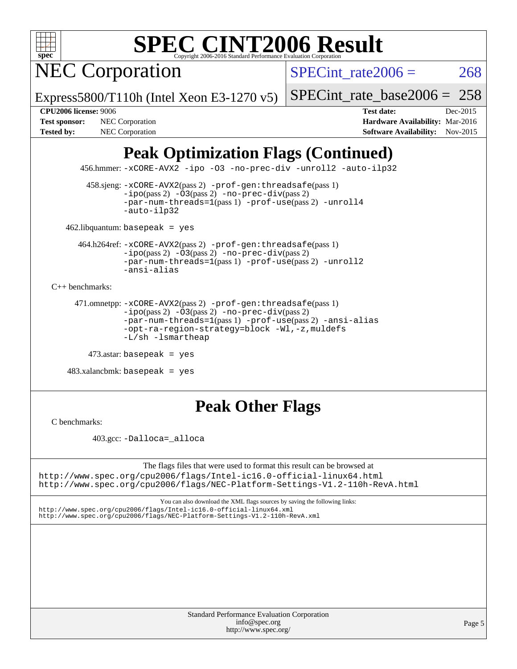NEC Corporation

SPECint rate $2006 = 268$ 

Express5800/T110h (Intel Xeon E3-1270 v5)

[SPECint\\_rate\\_base2006 =](http://www.spec.org/auto/cpu2006/Docs/result-fields.html#SPECintratebase2006) 258

**[CPU2006 license:](http://www.spec.org/auto/cpu2006/Docs/result-fields.html#CPU2006license)** 9006 **[Test date:](http://www.spec.org/auto/cpu2006/Docs/result-fields.html#Testdate)** Dec-2015 **[Test sponsor:](http://www.spec.org/auto/cpu2006/Docs/result-fields.html#Testsponsor)** NEC Corporation **NEC Corporation [Hardware Availability:](http://www.spec.org/auto/cpu2006/Docs/result-fields.html#HardwareAvailability)** Mar-2016 **[Tested by:](http://www.spec.org/auto/cpu2006/Docs/result-fields.html#Testedby)** NEC Corporation **[Software Availability:](http://www.spec.org/auto/cpu2006/Docs/result-fields.html#SoftwareAvailability)** Nov-2015

## **[Peak Optimization Flags \(Continued\)](http://www.spec.org/auto/cpu2006/Docs/result-fields.html#PeakOptimizationFlags)**

456.hmmer: [-xCORE-AVX2](http://www.spec.org/cpu2006/results/res2016q1/cpu2006-20160125-38826.flags.html#user_peakCOPTIMIZE456_hmmer_f-xAVX2_5f5fc0cbe2c9f62c816d3e45806c70d7) [-ipo](http://www.spec.org/cpu2006/results/res2016q1/cpu2006-20160125-38826.flags.html#user_peakCOPTIMIZE456_hmmer_f-ipo) [-O3](http://www.spec.org/cpu2006/results/res2016q1/cpu2006-20160125-38826.flags.html#user_peakCOPTIMIZE456_hmmer_f-O3) [-no-prec-div](http://www.spec.org/cpu2006/results/res2016q1/cpu2006-20160125-38826.flags.html#user_peakCOPTIMIZE456_hmmer_f-no-prec-div) [-unroll2](http://www.spec.org/cpu2006/results/res2016q1/cpu2006-20160125-38826.flags.html#user_peakCOPTIMIZE456_hmmer_f-unroll_784dae83bebfb236979b41d2422d7ec2) [-auto-ilp32](http://www.spec.org/cpu2006/results/res2016q1/cpu2006-20160125-38826.flags.html#user_peakCOPTIMIZE456_hmmer_f-auto-ilp32)

 458.sjeng: [-xCORE-AVX2](http://www.spec.org/cpu2006/results/res2016q1/cpu2006-20160125-38826.flags.html#user_peakPASS2_CFLAGSPASS2_LDCFLAGS458_sjeng_f-xAVX2_5f5fc0cbe2c9f62c816d3e45806c70d7)(pass 2) [-prof-gen:threadsafe](http://www.spec.org/cpu2006/results/res2016q1/cpu2006-20160125-38826.flags.html#user_peakPASS1_CFLAGSPASS1_LDCFLAGS458_sjeng_prof_gen_21a26eb79f378b550acd7bec9fe4467a)(pass 1)  $-i\text{po}(pass 2) -03(pass 2) -no-prec-div(pass 2)$  $-i\text{po}(pass 2) -03(pass 2) -no-prec-div(pass 2)$  $-i\text{po}(pass 2) -03(pass 2) -no-prec-div(pass 2)$ [-par-num-threads=1](http://www.spec.org/cpu2006/results/res2016q1/cpu2006-20160125-38826.flags.html#user_peakPASS1_CFLAGSPASS1_LDCFLAGS458_sjeng_par_num_threads_786a6ff141b4e9e90432e998842df6c2)(pass 1) [-prof-use](http://www.spec.org/cpu2006/results/res2016q1/cpu2006-20160125-38826.flags.html#user_peakPASS2_CFLAGSPASS2_LDCFLAGS458_sjeng_prof_use_bccf7792157ff70d64e32fe3e1250b55)(pass 2) [-unroll4](http://www.spec.org/cpu2006/results/res2016q1/cpu2006-20160125-38826.flags.html#user_peakCOPTIMIZE458_sjeng_f-unroll_4e5e4ed65b7fd20bdcd365bec371b81f) [-auto-ilp32](http://www.spec.org/cpu2006/results/res2016q1/cpu2006-20160125-38826.flags.html#user_peakCOPTIMIZE458_sjeng_f-auto-ilp32)

462.libquantum: basepeak = yes

 464.h264ref: [-xCORE-AVX2](http://www.spec.org/cpu2006/results/res2016q1/cpu2006-20160125-38826.flags.html#user_peakPASS2_CFLAGSPASS2_LDCFLAGS464_h264ref_f-xAVX2_5f5fc0cbe2c9f62c816d3e45806c70d7)(pass 2) [-prof-gen:threadsafe](http://www.spec.org/cpu2006/results/res2016q1/cpu2006-20160125-38826.flags.html#user_peakPASS1_CFLAGSPASS1_LDCFLAGS464_h264ref_prof_gen_21a26eb79f378b550acd7bec9fe4467a)(pass 1)  $-i\text{po}(pass 2) -\overline{O}3(pass 2)$  [-no-prec-div](http://www.spec.org/cpu2006/results/res2016q1/cpu2006-20160125-38826.flags.html#user_peakPASS2_CFLAGSPASS2_LDCFLAGS464_h264ref_f-no-prec-div)(pass 2) [-par-num-threads=1](http://www.spec.org/cpu2006/results/res2016q1/cpu2006-20160125-38826.flags.html#user_peakPASS1_CFLAGSPASS1_LDCFLAGS464_h264ref_par_num_threads_786a6ff141b4e9e90432e998842df6c2)(pass 1) [-prof-use](http://www.spec.org/cpu2006/results/res2016q1/cpu2006-20160125-38826.flags.html#user_peakPASS2_CFLAGSPASS2_LDCFLAGS464_h264ref_prof_use_bccf7792157ff70d64e32fe3e1250b55)(pass 2) [-unroll2](http://www.spec.org/cpu2006/results/res2016q1/cpu2006-20160125-38826.flags.html#user_peakCOPTIMIZE464_h264ref_f-unroll_784dae83bebfb236979b41d2422d7ec2) [-ansi-alias](http://www.spec.org/cpu2006/results/res2016q1/cpu2006-20160125-38826.flags.html#user_peakCOPTIMIZE464_h264ref_f-ansi-alias)

[C++ benchmarks:](http://www.spec.org/auto/cpu2006/Docs/result-fields.html#CXXbenchmarks)

```
 471.omnetpp: -xCORE-AVX2(pass 2) -prof-gen:threadsafe(pass 1)
-ipo(pass 2) -O3(pass 2) -no-prec-div(pass 2)
-par-num-threads=1(pass 1) -prof-use(pass 2) -ansi-alias
-opt-ra-region-strategy=block -Wl,-z,muldefs
-L/sh -lsmartheap
```

```
 473.astar: basepeak = yes
```
 $483.xalanchmk: basepeak = yes$ 

### **[Peak Other Flags](http://www.spec.org/auto/cpu2006/Docs/result-fields.html#PeakOtherFlags)**

[C benchmarks](http://www.spec.org/auto/cpu2006/Docs/result-fields.html#Cbenchmarks):

403.gcc: [-Dalloca=\\_alloca](http://www.spec.org/cpu2006/results/res2016q1/cpu2006-20160125-38826.flags.html#b403.gcc_peakEXTRA_CFLAGS_Dalloca_be3056838c12de2578596ca5467af7f3)

The flags files that were used to format this result can be browsed at <http://www.spec.org/cpu2006/flags/Intel-ic16.0-official-linux64.html> <http://www.spec.org/cpu2006/flags/NEC-Platform-Settings-V1.2-110h-RevA.html>

You can also download the XML flags sources by saving the following links:

<http://www.spec.org/cpu2006/flags/Intel-ic16.0-official-linux64.xml> <http://www.spec.org/cpu2006/flags/NEC-Platform-Settings-V1.2-110h-RevA.xml>